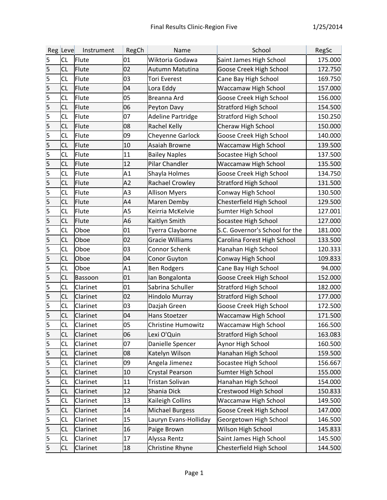|                         | Reg Leve  | Instrument | RegCh | Name                     | School                         | RegSc   |
|-------------------------|-----------|------------|-------|--------------------------|--------------------------------|---------|
| $\overline{\mathbf{5}}$ | <b>CL</b> | Flute      | 01    | Wiktoria Godawa          | Saint James High School        | 175.000 |
| 5                       | <b>CL</b> | Flute      | 02    | Autumn Matutina          | Goose Creek High School        | 172.750 |
| 5                       | <b>CL</b> | Flute      | 03    | Tori Everest             | Cane Bay High School           | 169.750 |
| $\vert$ 5               | <b>CL</b> | Flute      | 04    | Lora Eddy                | Waccamaw High School           | 157.000 |
| $\overline{\mathbf{5}}$ | <b>CL</b> | Flute      | 05    | Breanna Ard              | Goose Creek High School        | 156.000 |
| $\vert$ 5               | <b>CL</b> | Flute      | 06    | Peyton Davy              | <b>Stratford High School</b>   | 154.500 |
| $\overline{\mathbf{5}}$ | <b>CL</b> | Flute      | 07    | <b>Adeline Partridge</b> | <b>Stratford High School</b>   | 150.250 |
| $\overline{\mathsf{5}}$ | <b>CL</b> | Flute      | 08    | Rachel Kelly             | Cheraw High School             | 150.000 |
| $\overline{\mathbf{5}}$ | <b>CL</b> | Flute      | 09    | <b>Cheyenne Garlock</b>  | Goose Creek High School        | 140.000 |
| $\overline{5}$          | <b>CL</b> | Flute      | 10    | Asaiah Browne            | Waccamaw High School           | 139.500 |
| $\overline{\mathbf{5}}$ | <b>CL</b> | Flute      | 11    | <b>Bailey Naples</b>     | Socastee High School           | 137.500 |
| $\overline{\mathsf{5}}$ | <b>CL</b> | Flute      | 12    | Pilar Chandler           | Waccamaw High School           | 135.500 |
| 5                       | <b>CL</b> | Flute      | A1    | Shayla Holmes            | Goose Creek High School        | 134.750 |
| $\overline{5}$          | <b>CL</b> | Flute      | A2    | <b>Rachael Crowley</b>   | <b>Stratford High School</b>   | 131.500 |
| 5                       | <b>CL</b> | Flute      | A3    | <b>Allison Myers</b>     | Conway High School             | 130.500 |
| 5                       | <b>CL</b> | Flute      | A4    | Maren Demby              | Chesterfield High School       | 129.500 |
| 5                       | <b>CL</b> | Flute      | A5    | Keirria McKelvie         | Sumter High School             | 127.001 |
| 5                       | <b>CL</b> | Flute      | A6    | Kaitlyn Smith            | Socastee High School           | 127.000 |
| 5                       | <b>CL</b> | Oboe       | 01    | Tyerra Clayborne         | S.C. Governor's School for the | 181.000 |
| $\overline{5}$          | <b>CL</b> | Oboe       | 02    | <b>Gracie Williams</b>   | Carolina Forest High School    | 133.500 |
| $\overline{\mathbf{5}}$ | <b>CL</b> | Oboe       | 03    | Connor Schenk            | Hanahan High School            | 120.333 |
| $\overline{\mathsf{5}}$ | <b>CL</b> | Oboe       | 04    | <b>Conor Guyton</b>      | Conway High School             | 109.833 |
| $\overline{\mathbf{5}}$ | <b>CL</b> | Oboe       | A1    | <b>Ben Rodgers</b>       | Cane Bay High School           | 94.000  |
| $\overline{\mathsf{5}}$ | <b>CL</b> | Bassoon    | 01    | Ian Bongalonta           | Goose Creek High School        | 152.000 |
| $\overline{\mathbf{5}}$ | <b>CL</b> | Clarinet   | 01    | Sabrina Schuller         | <b>Stratford High School</b>   | 182.000 |
| $\overline{5}$          | <b>CL</b> | Clarinet   | 02    | Hindolo Murray           | <b>Stratford High School</b>   | 177.000 |
| 5                       | <b>CL</b> | Clarinet   | 03    | Dazjah Green             | Goose Creek High School        | 172.500 |
| $\vert$ 5               | <b>CL</b> | Clarinet   | 04    | Hans Stoetzer            | Waccamaw High School           | 171.500 |
| $\overline{\mathbf{5}}$ | <b>CL</b> | Clarinet   | 05    | Christine Humowitz       | <b>Waccamaw High School</b>    | 166.500 |
| 5                       | <b>CL</b> | Clarinet   | 06    | Lexi O'Quin              | <b>Stratford High School</b>   | 163.083 |
| 5                       | <b>CL</b> | Clarinet   | 07    | Danielle Spencer         | Aynor High School              | 160.500 |
| 5                       | <b>CL</b> | Clarinet   | 08    | Katelyn Wilson           | Hanahan High School            | 159.500 |
| 5                       | <b>CL</b> | Clarinet   | 09    | Angela Jimenez           | Socastee High School           | 156.667 |
| 5                       | <b>CL</b> | Clarinet   | 10    | Crystal Pearson          | Sumter High School             | 155.000 |
| 5                       | <b>CL</b> | Clarinet   | 11    | Tristan Solivan          | Hanahan High School            | 154.000 |
| 5                       | <b>CL</b> | Clarinet   | 12    | Shania Dick              | Crestwood High School          | 150.833 |
| 5                       | <b>CL</b> | Clarinet   | 13    | Kaileigh Collins         | Waccamaw High School           | 149.500 |
| 5                       | <b>CL</b> | Clarinet   | 14    | <b>Michael Burgess</b>   | Goose Creek High School        | 147.000 |
| 5                       | <b>CL</b> | Clarinet   | 15    | Lauryn Evans-Holliday    | Georgetown High School         | 146.500 |
| 5                       | <b>CL</b> | Clarinet   | 16    | Paige Brown              | Wilson High School             | 145.833 |
| 5                       | <b>CL</b> | Clarinet   | 17    | Alyssa Rentz             | Saint James High School        | 145.500 |
| 5                       | <b>CL</b> | Clarinet   | 18    | Christine Rhyne          | Chesterfield High School       | 144.500 |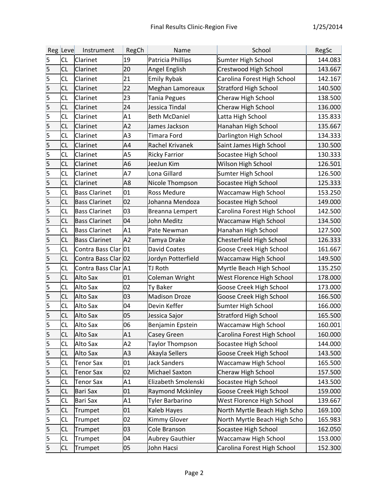|                         | Reg Leve  | Instrument           | RegCh          | <b>Name</b>            | School                       | RegSc   |
|-------------------------|-----------|----------------------|----------------|------------------------|------------------------------|---------|
| 5                       | <b>CL</b> | Clarinet             | 19             | Patricia Phillips      | Sumter High School           | 144.083 |
| 5                       | <b>CL</b> | Clarinet             | 20             | Angel English          | Crestwood High School        | 143.667 |
| $\vert$ 5               | <b>CL</b> | Clarinet             | 21             | <b>Emily Rybak</b>     | Carolina Forest High School  | 142.167 |
| $\overline{5}$          | <b>CL</b> | Clarinet             | 22             | Meghan Lamoreaux       | <b>Stratford High School</b> | 140.500 |
| $\vert$ 5               | <b>CL</b> | Clarinet             | 23             | Tania Pegues           | Cheraw High School           | 138.500 |
| 5                       | <b>CL</b> | Clarinet             | 24             | Jessica Tindal         | Cheraw High School           | 136.000 |
| $\overline{\mathbf{5}}$ | <b>CL</b> | Clarinet             | A1             | <b>Beth McDaniel</b>   | Latta High School            | 135.833 |
| 5                       | <b>CL</b> | Clarinet             | A2             | James Jackson          | Hanahan High School          | 135.667 |
| $\overline{\mathbf{5}}$ | <b>CL</b> | Clarinet             | A3             | <b>Timara Ford</b>     | Darlington High School       | 134.333 |
| $\overline{5}$          | <b>CL</b> | Clarinet             | A4             | Rachel Krivanek        | Saint James High School      | 130.500 |
| $\vert$ 5               | <b>CL</b> | Clarinet             | A5             | <b>Ricky Farrior</b>   | Socastee High School         | 130.333 |
| 5                       | <b>CL</b> | Clarinet             | A6             | JeeJun Kim             | Wilson High School           | 126.501 |
| $\vert$ 5               | <b>CL</b> | Clarinet             | A7             | Lona Gillard           | Sumter High School           | 126.500 |
| 5                       | <b>CL</b> | Clarinet             | A8             | Nicole Thompson        | Socastee High School         | 125.333 |
| $\vert$ 5               | <b>CL</b> | <b>Bass Clarinet</b> | 01             | <b>Ross Medure</b>     | <b>Waccamaw High School</b>  | 153.250 |
| 5                       | <b>CL</b> | <b>Bass Clarinet</b> | 02             | Johanna Mendoza        | Socastee High School         | 149.000 |
| $\vert$ 5               | <b>CL</b> | <b>Bass Clarinet</b> | 03             | <b>Breanna Lempert</b> | Carolina Forest High School  | 142.500 |
| 5                       | <b>CL</b> | <b>Bass Clarinet</b> | 04             | John Meditz            | <b>Waccamaw High School</b>  | 134.500 |
| $\overline{\mathsf{5}}$ | <b>CL</b> | <b>Bass Clarinet</b> | A1             | Pate Newman            | Hanahan High School          | 127.500 |
| 5                       | <b>CL</b> | <b>Bass Clarinet</b> | A <sub>2</sub> | Tamya Drake            | Chesterfield High School     | 126.333 |
| $\vert$ 5               | <b>CL</b> | Contra Bass Clar 01  |                | <b>David Coates</b>    | Goose Creek High School      | 161.667 |
| 5                       | <b>CL</b> | Contra Bass Clar 02  |                | Jordyn Potterfield     | <b>Waccamaw High School</b>  | 149.500 |
| $\overline{5}$          | <b>CL</b> | Contra Bass Clar A1  |                | TJ Roth                | Myrtle Beach High School     | 135.250 |
| 5                       | <b>CL</b> | Alto Sax             | 01             | Coleman Wright         | West Florence High School    | 178.000 |
| $\vert$ 5               | <b>CL</b> | Alto Sax             | 02             | Ty Baker               | Goose Creek High School      | 173.000 |
| $\vert$ 5               | <b>CL</b> | Alto Sax             | 03             | <b>Madison Droze</b>   | Goose Creek High School      | 166.500 |
| $\vert$ 5               | <b>CL</b> | Alto Sax             | 04             | Devin Keffer           | Sumter High School           | 166.000 |
| 5                       | <b>CL</b> | Alto Sax             | 05             | Jessica Sajor          | <b>Stratford High School</b> | 165.500 |
| 5                       | <b>CL</b> | <b>Alto Sax</b>      | 06             | Benjamin Epstein       | <b>Waccamaw High School</b>  | 160.001 |
| $\overline{\mathbf{5}}$ | <b>CL</b> | Alto Sax             | A1             | Casey Green            | Carolina Forest High School  | 160.000 |
| 5                       | CL        | Alto Sax             | A2             | <b>Taylor Thompson</b> | Socastee High School         | 144.000 |
| $\vert$ 5               | <b>CL</b> | Alto Sax             | A3             | Akayla Sellers         | Goose Creek High School      | 143.500 |
| $\vert$ 5               | <b>CL</b> | <b>Tenor Sax</b>     | 01             | <b>Jack Sanders</b>    | <b>Waccamaw High School</b>  | 165.500 |
| 5                       | <b>CL</b> | <b>Tenor Sax</b>     | 02             | <b>Michael Saxton</b>  | Cheraw High School           | 157.500 |
| $\vert$ 5               | CL        | <b>Tenor Sax</b>     | A1             | Elizabeth Smolenski    | Socastee High School         | 143.500 |
| 5                       | <b>CL</b> | <b>Bari Sax</b>      | 01             | Raymond Mckinley       | Goose Creek High School      | 159.000 |
| 5                       | <b>CL</b> | <b>Bari Sax</b>      | A1             | <b>Tyler Barbarino</b> | West Florence High School    | 139.667 |
| $\vert$ 5               | CL        | Trumpet              | 01             | Kaleb Hayes            | North Myrtle Beach High Scho | 169.100 |
| 5                       | <b>CL</b> | Trumpet              | 02             | <b>Kimmy Glover</b>    | North Myrtle Beach High Scho | 165.983 |
| $\overline{\mathsf{5}}$ | <b>CL</b> | Trumpet              | 03             | Cole Branson           | Socastee High School         | 162.050 |
| $\overline{5}$          | <b>CL</b> | Trumpet              | 04             | <b>Aubrey Gauthier</b> | <b>Waccamaw High School</b>  | 153.000 |
| 5                       | <b>CL</b> | Trumpet              | 05             | John Hacsi             | Carolina Forest High School  | 152.300 |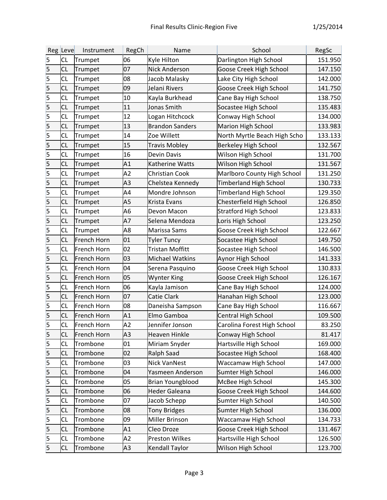|                         | Reg Leve  | Instrument         | RegCh          | Name                    | School                        | RegSc   |
|-------------------------|-----------|--------------------|----------------|-------------------------|-------------------------------|---------|
| 5                       | <b>CL</b> | Trumpet            | 06             | Kyle Hilton             | Darlington High School        | 151.950 |
| 5                       | <b>CL</b> | Trumpet            | 07             | <b>Nick Anderson</b>    | Goose Creek High School       | 147.150 |
| 5                       | CL        | Trumpet            | 08             | Jacob Malasky           | Lake City High School         | 142.000 |
| $\vert$ 5               | <b>CL</b> | Trumpet            | 09             | Jelani Rivers           | Goose Creek High School       | 141.750 |
| $\vert$ 5               | <b>CL</b> | Trumpet            | 10             | Kayla Burkhead          | Cane Bay High School          | 138.750 |
| $\vert$ 5               | <b>CL</b> | Trumpet            | 11             | Jonas Smith             | Socastee High School          | 135.483 |
| $\vert$ 5               | <b>CL</b> | Trumpet            | 12             | Logan Hitchcock         | Conway High School            | 134.000 |
| 5                       | <b>CL</b> | Trumpet            | 13             | <b>Brandon Sanders</b>  | <b>Marion High School</b>     | 133.983 |
| 5                       | <b>CL</b> | Trumpet            | 14             | Zoe Willett             | North Myrtle Beach High Scho  | 133.133 |
| 5                       | <b>CL</b> | Trumpet            | 15             | <b>Travis Mobley</b>    | <b>Berkeley High School</b>   | 132.567 |
| 5                       | <b>CL</b> | Trumpet            | 16             | <b>Devin Davis</b>      | Wilson High School            | 131.700 |
| $\vert$ 5               | <b>CL</b> | Trumpet            | A1             | Katherine Watts         | Wilson High School            | 131.567 |
| 5                       | <b>CL</b> | Trumpet            | A <sub>2</sub> | <b>Christian Cook</b>   | Marlboro County High School   | 131.250 |
| $\vert$ 5               | <b>CL</b> | Trumpet            | A3             | Chelstea Kennedy        | <b>Timberland High School</b> | 130.733 |
| $\vert$ 5               | <b>CL</b> | Trumpet            | A4             | Mondre Johnson          | <b>Timberland High School</b> | 129.350 |
| $\overline{\mathbf{5}}$ | <b>CL</b> | Trumpet            | A5             | <b>Krista Evans</b>     | Chesterfield High School      | 126.850 |
| 5                       | <b>CL</b> | Trumpet            | A6             | Devon Macon             | <b>Stratford High School</b>  | 123.833 |
| $\vert$ 5               | <b>CL</b> | Trumpet            | A7             | Selena Mendoza          | Loris High School             | 123.250 |
| 5                       | <b>CL</b> | Trumpet            | A8             | Marissa Sams            | Goose Creek High School       | 122.667 |
| $\vert$ 5               | <b>CL</b> | French Horn        | 01             | <b>Tyler Tuncy</b>      | Socastee High School          | 149.750 |
| 5                       | <b>CL</b> | <b>French Horn</b> | 02             | <b>Tristan Moffitt</b>  | Socastee High School          | 146.500 |
| $\overline{\mathsf{5}}$ | <b>CL</b> | French Horn        | 03             | <b>Michael Watkins</b>  | Aynor High School             | 141.333 |
| $\vert$ 5               | <b>CL</b> | French Horn        | 04             | Serena Pasquino         | Goose Creek High School       | 130.833 |
| 5                       | <b>CL</b> | French Horn        | 05             | <b>Wynter King</b>      | Goose Creek High School       | 126.167 |
| $\vert$ 5               | <b>CL</b> | French Horn        | 06             | Kayla Jamison           | Cane Bay High School          | 124.000 |
| $\overline{\mathbf{5}}$ | <b>CL</b> | French Horn        | 07             | Catie Clark             | Hanahan High School           | 123.000 |
| 5                       | <b>CL</b> | French Horn        | 08             | Daneisha Sampson        | Cane Bay High School          | 116.667 |
| 5                       | <b>CL</b> | French Horn        | A1             | Elmo Gamboa             | Central High School           | 109.500 |
| $\overline{5}$          | <b>CL</b> | French Horn        | A <sub>2</sub> | Jennifer Jonson         | Carolina Forest High School   | 83.250  |
| 5                       | <b>CL</b> | French Horn        | A3             | <b>Heaven Hinkle</b>    | Conway High School            | 81.417  |
| 5                       | <b>CL</b> | Trombone           | 01             | Miriam Snyder           | Hartsville High School        | 169.000 |
| $\vert$ 5               | <b>CL</b> | Trombone           | 02             | <b>Ralph Saad</b>       | Socastee High School          | 168.400 |
| 5                       | CL        | Trombone           | 03             | <b>Nick VanNest</b>     | Waccamaw High School          | 147.000 |
| $\vert$ 5               | <b>CL</b> | Trombone           | 04             | Yasmeen Anderson        | Sumter High School            | 146.000 |
| 5                       | CL        | Trombone           | 05             | <b>Brian Youngblood</b> | McBee High School             | 145.300 |
| $\vert$ 5               | <b>CL</b> | Trombone           | 06             | <b>Heder Galeana</b>    | Goose Creek High School       | 144.600 |
| 5                       | <b>CL</b> | Trombone           | 07             | Jacob Schepp            | Sumter High School            | 140.500 |
| $\vert$ 5               | <b>CL</b> | Trombone           | 08             | <b>Tony Bridges</b>     | Sumter High School            | 136.000 |
| 5                       | CL        | Trombone           | 09             | Miller Brinson          | <b>Waccamaw High School</b>   | 134.733 |
| 5                       | <b>CL</b> | Trombone           | A1             | Cleo Droze              | Goose Creek High School       | 131.467 |
| 5                       | CL        | Trombone           | A2             | <b>Preston Wilkes</b>   | Hartsville High School        | 126.500 |
| 5                       | <b>CL</b> | Trombone           | A3             | <b>Kendall Taylor</b>   | Wilson High School            | 123.700 |